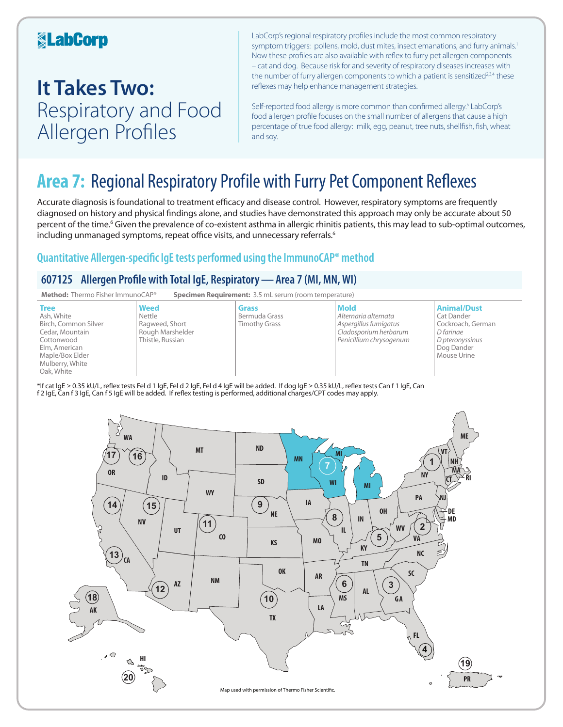### **KabCorp**

## **It Takes Two:**  Respiratory and Food Allergen Profiles

LabCorp's regional respiratory profiles include the most common respiratory symptom triggers: pollens, mold, dust mites, insect emanations, and furry animals.<sup>1</sup> Now these profiles are also available with reflex to furry pet allergen components – cat and dog. Because risk for and severity of respiratory diseases increases with the number of furry allergen components to which a patient is sensitized<sup>2,3,4</sup> these reflexes may help enhance management strategies.

Self-reported food allergy is more common than confirmed allergy.<sup>5</sup> LabCorp's food allergen profile focuses on the small number of allergens that cause a high percentage of true food allergy: milk, egg, peanut, tree nuts, shellfish, fish, wheat and soy.

## **Area 7:** Regional Respiratory Profile with Furry Pet Component Reflexes

Accurate diagnosis is foundational to treatment efficacy and disease control. However, respiratory symptoms are frequently diagnosed on history and physical findings alone, and studies have demonstrated this approach may only be accurate about 50 percent of the time.<sup>6</sup> Given the prevalence of co-existent asthma in allergic rhinitis patients, this may lead to sub-optimal outcomes, including unmanaged symptoms, repeat office visits, and unnecessary referrals.<sup>6</sup>

### **Quantitative Allergen-specific IgE tests performed using the ImmunoCAP® method**

### **607125 Allergen Profile with Total IgE, Respiratory—Area 7 (MI, MN, WI)**